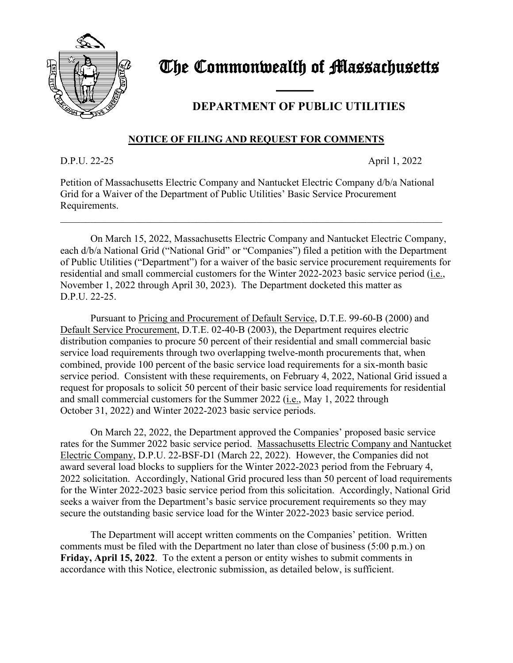

## The Commonwealth of Massachusetts

## and the contract of the contract of **DEPARTMENT OF PUBLIC UTILITIES**

## **NOTICE OF FILING AND REQUEST FOR COMMENTS**

D.P.U. 22-25 April 1, 2022

Petition of Massachusetts Electric Company and Nantucket Electric Company d/b/a National Grid for a Waiver of the Department of Public Utilities' Basic Service Procurement Requirements.

\_\_\_\_\_\_\_\_\_\_\_\_\_\_\_\_\_\_\_\_\_\_\_\_\_\_\_\_\_\_\_\_\_\_\_\_\_\_\_\_\_\_\_\_\_\_\_\_\_\_\_\_\_\_\_\_\_\_\_\_\_\_\_\_\_\_\_\_\_\_\_\_\_\_\_\_

On March 15, 2022, Massachusetts Electric Company and Nantucket Electric Company, each d/b/a National Grid ("National Grid" or "Companies") filed a petition with the Department of Public Utilities ("Department") for a waiver of the basic service procurement requirements for residential and small commercial customers for the Winter 2022-2023 basic service period (i.e., November 1, 2022 through April 30, 2023). The Department docketed this matter as D.P.U. 22-25.

Pursuant to Pricing and Procurement of Default Service, D.T.E. 99-60-B (2000) and Default Service Procurement, D.T.E. 02-40-B (2003), the Department requires electric distribution companies to procure 50 percent of their residential and small commercial basic service load requirements through two overlapping twelve-month procurements that, when combined, provide 100 percent of the basic service load requirements for a six-month basic service period. Consistent with these requirements, on February 4, 2022, National Grid issued a request for proposals to solicit 50 percent of their basic service load requirements for residential and small commercial customers for the Summer 2022 (i.e., May 1, 2022 through October 31, 2022) and Winter 2022-2023 basic service periods.

On March 22, 2022, the Department approved the Companies' proposed basic service rates for the Summer 2022 basic service period. Massachusetts Electric Company and Nantucket Electric Company, D.P.U. 22-BSF-D1 (March 22, 2022). However, the Companies did not award several load blocks to suppliers for the Winter 2022-2023 period from the February 4, 2022 solicitation. Accordingly, National Grid procured less than 50 percent of load requirements for the Winter 2022-2023 basic service period from this solicitation. Accordingly, National Grid seeks a waiver from the Department's basic service procurement requirements so they may secure the outstanding basic service load for the Winter 2022-2023 basic service period.

The Department will accept written comments on the Companies' petition. Written comments must be filed with the Department no later than close of business (5:00 p.m.) on **Friday, April 15, 2022**. To the extent a person or entity wishes to submit comments in accordance with this Notice, electronic submission, as detailed below, is sufficient.